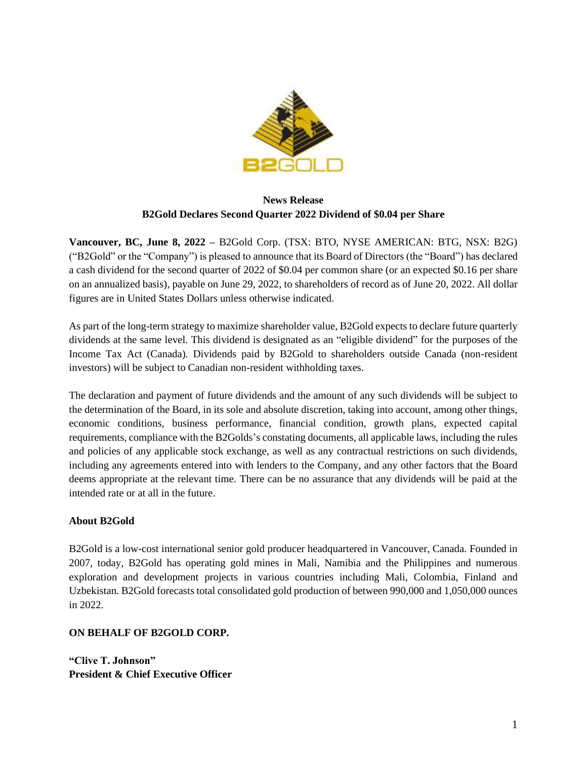

## **News Release B2Gold Declares Second Quarter 2022 Dividend of \$0.04 per Share**

**Vancouver, BC, June 8, 2022 –** B2Gold Corp. (TSX: BTO, NYSE AMERICAN: BTG, NSX: B2G) ("B2Gold" or the "Company") is pleased to announce that its Board of Directors (the "Board") has declared a cash dividend for the second quarter of 2022 of \$0.04 per common share (or an expected \$0.16 per share on an annualized basis), payable on June 29, 2022, to shareholders of record as of June 20, 2022. All dollar figures are in United States Dollars unless otherwise indicated.

As part of the long-term strategy to maximize shareholder value, B2Gold expects to declare future quarterly dividends at the same level. This dividend is designated as an "eligible dividend" for the purposes of the Income Tax Act (Canada). Dividends paid by B2Gold to shareholders outside Canada (non-resident investors) will be subject to Canadian non-resident withholding taxes.

The declaration and payment of future dividends and the amount of any such dividends will be subject to the determination of the Board, in its sole and absolute discretion, taking into account, among other things, economic conditions, business performance, financial condition, growth plans, expected capital requirements, compliance with the B2Golds's constating documents, all applicable laws, including the rules and policies of any applicable stock exchange, as well as any contractual restrictions on such dividends, including any agreements entered into with lenders to the Company, and any other factors that the Board deems appropriate at the relevant time. There can be no assurance that any dividends will be paid at the intended rate or at all in the future.

## **About B2Gold**

B2Gold is a low-cost international senior gold producer headquartered in Vancouver, Canada. Founded in 2007, today, B2Gold has operating gold mines in Mali, Namibia and the Philippines and numerous exploration and development projects in various countries including Mali, Colombia, Finland and Uzbekistan. B2Gold forecasts total consolidated gold production of between 990,000 and 1,050,000 ounces in 2022.

## **ON BEHALF OF B2GOLD CORP.**

**"Clive T. Johnson" President & Chief Executive Officer**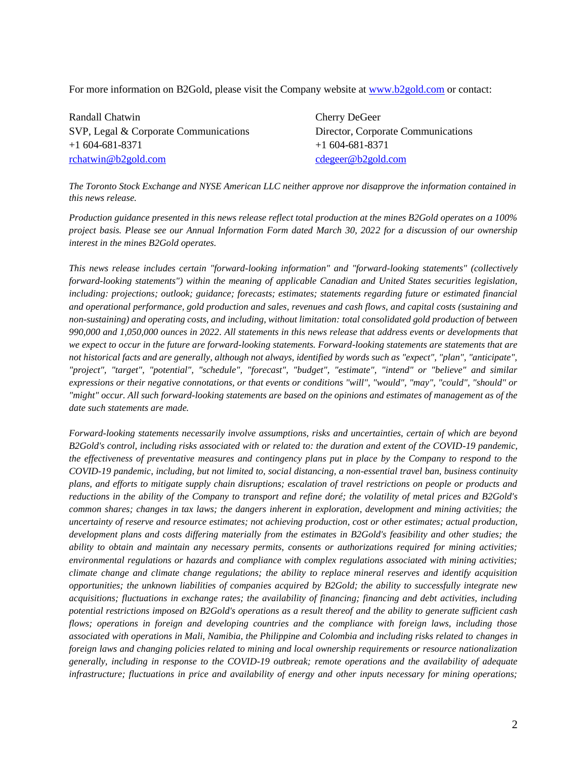For more information on B2Gold, please visit the Company website at [www.b2gold.com](http://www.b2gold.com/) or contact:

Randall Chatwin Cherry DeGeer SVP, Legal & Corporate Communications Director, Corporate Communications +1 604-681-8371 +1 604-681-8371 [rchatwin@b2gold.com](mailto:rchatwin@b2gold.com) [cdegeer@b2gold.com](mailto:cdegeer@b2gold.com)

*The Toronto Stock Exchange and NYSE American LLC neither approve nor disapprove the information contained in this news release.* 

*Production guidance presented in this news release reflect total production at the mines B2Gold operates on a 100% project basis. Please see our Annual Information Form dated March 30, 2022 for a discussion of our ownership interest in the mines B2Gold operates.*

*This news release includes certain "forward-looking information" and "forward-looking statements" (collectively forward-looking statements") within the meaning of applicable Canadian and United States securities legislation, including: projections; outlook; guidance; forecasts; estimates; statements regarding future or estimated financial and operational performance, gold production and sales, revenues and cash flows, and capital costs (sustaining and non-sustaining) and operating costs, and including, without limitation: total consolidated gold production of between 990,000 and 1,050,000 ounces in 2022. All statements in this news release that address events or developments that we expect to occur in the future are forward-looking statements. Forward-looking statements are statements that are not historical facts and are generally, although not always, identified by words such as "expect", "plan", "anticipate", "project", "target", "potential", "schedule", "forecast", "budget", "estimate", "intend" or "believe" and similar expressions or their negative connotations, or that events or conditions "will", "would", "may", "could", "should" or "might" occur. All such forward-looking statements are based on the opinions and estimates of management as of the date such statements are made.*

*Forward-looking statements necessarily involve assumptions, risks and uncertainties, certain of which are beyond B2Gold's control, including risks associated with or related to: the duration and extent of the COVID-19 pandemic, the effectiveness of preventative measures and contingency plans put in place by the Company to respond to the COVID-19 pandemic, including, but not limited to, social distancing, a non-essential travel ban, business continuity plans, and efforts to mitigate supply chain disruptions; escalation of travel restrictions on people or products and reductions in the ability of the Company to transport and refine doré; the volatility of metal prices and B2Gold's common shares; changes in tax laws; the dangers inherent in exploration, development and mining activities; the uncertainty of reserve and resource estimates; not achieving production, cost or other estimates; actual production, development plans and costs differing materially from the estimates in B2Gold's feasibility and other studies; the ability to obtain and maintain any necessary permits, consents or authorizations required for mining activities; environmental regulations or hazards and compliance with complex regulations associated with mining activities; climate change and climate change regulations; the ability to replace mineral reserves and identify acquisition opportunities; the unknown liabilities of companies acquired by B2Gold; the ability to successfully integrate new acquisitions; fluctuations in exchange rates; the availability of financing; financing and debt activities, including potential restrictions imposed on B2Gold's operations as a result thereof and the ability to generate sufficient cash flows; operations in foreign and developing countries and the compliance with foreign laws, including those associated with operations in Mali, Namibia, the Philippine and Colombia and including risks related to changes in foreign laws and changing policies related to mining and local ownership requirements or resource nationalization generally, including in response to the COVID-19 outbreak; remote operations and the availability of adequate infrastructure; fluctuations in price and availability of energy and other inputs necessary for mining operations;*